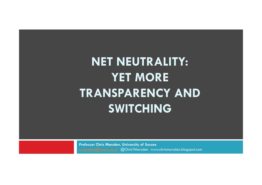# **NET NEUTRALITY: YET MORE TRANSPARENCY AND SWITCHING**

**Professor Chris Marsden, University of Sussex**<mark>c.marsden@sussex.ac.uk</mark> @ChrisTMarsden www.chrismarsden.blogspot.com<br>.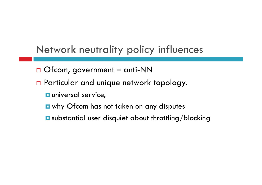## Network neutrality policy influences

- □ Ofcom, government anti-NN<br>□
- $\square$  Particular and unique network topology.
	- **u** universal service,
	- why Ofcom has not taken on any disputes
	- $\blacksquare$  substantial user disquiet about throttling/blocking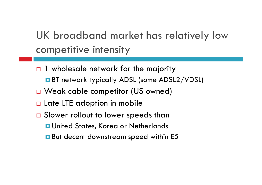# UK broadband market has relatively low competitive intensity

- $\Box$  1 wholesale network for the majority ■ BT network typically ADSL (some ADSL2/VDSL)
- □ Weak cable competitor (US owned)
- $\square$  Late LTE adoption in mobile
- $\square$  Slower rollout to lower speeds than
	- **□ United States, Korea or Netherlands**
	- But decent downstream speed within E5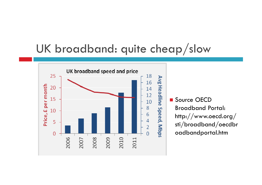## UK broadband: quite cheap/slow



■ Source OECD Broadband Portal: http://www.oecd.org/ sti/broadband/oecdbroadbandportal.htm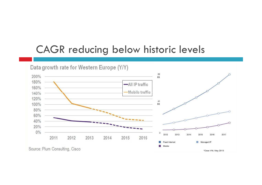#### CAGR reducing below historic levels

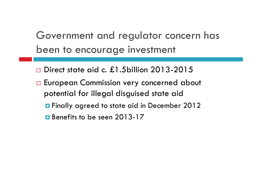Government and regulator concern has been to encourage investment

- $\Box$ Direct state aid c. £1.5billion 2013-2015
- □ European Commission very concerned about potential for illegal disguised state aid**Finally agreed to state aid in December 2012 □** Benefits to be seen 2013-17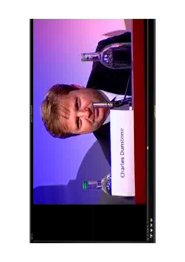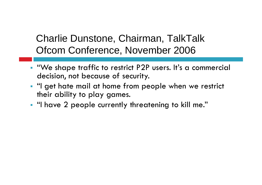### Charlie Dunstone, Chairman, TalkTalkOfcom Conference, November 2006

- "We shape traffic to restrict P2P users. It's a commercial decision, not because of security.
- И. "I get hate mail at home from people when we restrict their ability to play games.
- И. "I have 2 people currently threatening to kill me."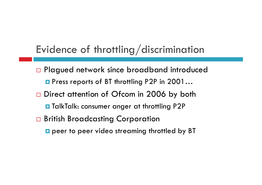## Evidence of throttling/discrimination

- □ Plagued network since broadband introduced
	- Press reports of BT throttling P2P in 2001...
- □ Direct attention of Ofcom in 2006 by both
	- **□ TalkTalk: consumer anger at throttling P2P**
- □ British Broadcasting Corporation
	- $\blacksquare$  peer to peer video streaming throttled by BT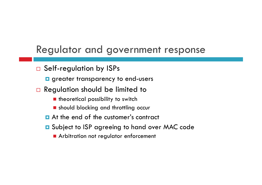#### Regulator and government response

- □ Self-regulation by ISPs
	- **Q** greater transparency to end-users
- $\Box$  Regulation should be limited to
	- $\blacksquare$  theoretical possibility to switch
	- should blocking and throttling occur
	- **O** At the end of the customer's contract
	- **□** Subject to ISP agreeing to hand over MAC code
		- **E** Arbitration not regulator enforcement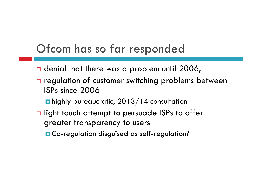## Ofcom has so far responded

- $\square$  denial that there was a problem until 2006,
- $\Box$  regulation of customer switching problems between ISPs since 2006
	- n highly bureaucratic, 2013/14 consultation
- $\Box$  light touch attempt to persuade ISPs to offer greater transparency to users
	- Co-regulation disguised as self-regulation?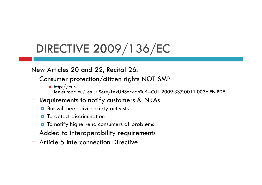# DIRECTIVE 2009/136/EC

#### New Articles 20 and 22, Recital 26:

- $\Box$  Consumer protection/citizen rights NOT SMP
	- $\blacksquare$  http://eurlex.europa.eu/LexUriServ/LexUriServ.do?uri=OJ:L:2009:337:0011:0036:EN:PDF
- □ Requirements to notify customers & NRAs
	- **B**ut will need civil society activists
	- **<u>n</u>** To detect discrimination
	- $\blacksquare$  To notify higher-end consumers of problems
- $\Box$  Added to interoperability requirements
- $\Box$  Article 5 Interconnection Directive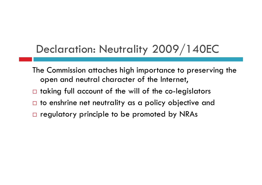# Declaration: Neutrality 2009/140EC

- The Commission attaches high importance to preserving the open and neutral character of the Internet,
- taking full account of the will of the co -legislators
- $\Box$  to enshrine net neutrality as a policy objective and
- $\square$  regulatory principle to be promoted by NRAs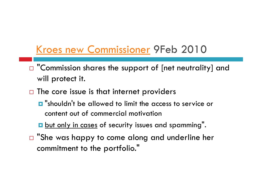# Kroes new Commissioner 9Feb 2010

- $\Box$ □ "Commission shares the support of [net neutrality] and will protect it.
- $\Box$  The core issue is that internet providers
	- $\blacksquare$  "shouldn't be allowed to limit the access to service or content out of commercial motivation
	- **<u>D** but only in cases</u> of security issues and spamming".
- $\Box$  $\Box$  "She was happy to come along and underline her commitment to the portfolio."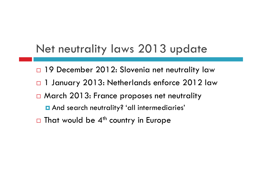# Net neutrality laws 2013 update

 $\Box$  19 December 2012: Slovenia net neutrality law□ 1 January 2013: Netherlands enforce 2012 law □ March 2013: France proposes net neutrality And search neutrality? 'all intermediaries'  $\Box$  $\square$  That would be  $4^{\text{th}}$  country in Europe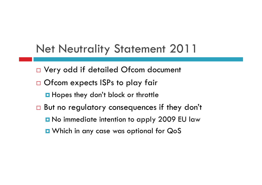# Net Neutrality Statement 2011

- □ Very odd if detailed Ofcom document
- □ Ofcom expects ISPs to play fair

**H** Hopes they don't block or throttle

 $\Box$  But no regulatory consequences if they don't  $\blacksquare$  No immediate intention to apply 2009 EU law ■ Which in any case was optional for QoS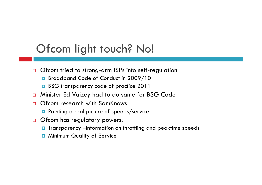# Ofcom light touch? No!

- □ Ofcom tried to strong-arm ISPs into self-regulation
	- **Broadband Code of Conduct in 2009/10**
	- BSG transparency code of practice 2011
- □ Minister Ed Vaizey had to do same for BSG Code
- $\Box$  Ofcom research with SamKnows
	- $\textcolor{red}{\blacksquare}$  Painting a real picture of speeds/service
- $\Box$  Ofcom has regulatory powers:
	- **T** Transparency —information on throttling and peaktime speeds<br>R. Minimum Quality of Service
	- **<u>n</u>** Minimum Quality of Service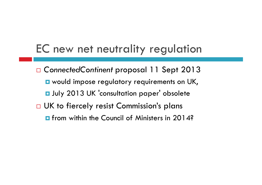# EC new net neutrality regulation

 *ConnectedContinent* proposal 11 Sept 2013  $\blacksquare$  would impose regulatory requirements on UK, July 2013 UK 'consultation paper' obsolete □ UK to fiercely resist Commission's plans **□** from within the Council of Ministers in 2014?